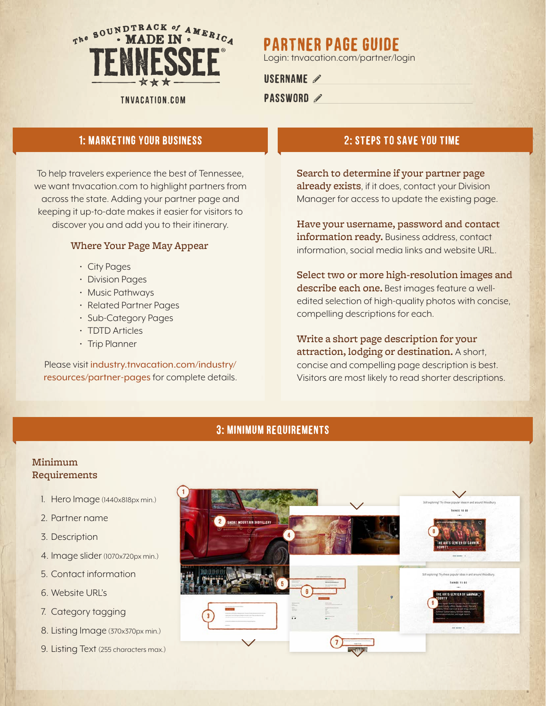

#### TNVACATION.COM

# Partner Page Guide

Login: tnvacation.com/partner/login

### USERNAME 2

## PASSWORD 2

# 1: marketing your business 2: steps to save you time

To help travelers experience the best of Tennessee, we want tnvacation.com to highlight partners from across the state. Adding your partner page and keeping it up-to-date makes it easier for visitors to discover you and add you to their itinerary.

#### Where Your Page May Appear

- City Pages
- Division Pages
- Music Pathways
- Related Partner Pages
- Sub-Category Pages
- TDTD Articles
- Trip Planner

Please visit industry.tnvacation.com/industry/ resources/partner-pages for complete details.

Search to determine if your partner page already exists, if it does, contact your Division Manager for access to update the existing page.

Have your username, password and contact information ready. Business address, contact information, social media links and website URL.

Select two or more high-resolution images and describe each one. Best images feature a welledited selection of high-quality photos with concise, compelling descriptions for each.

Write a short page description for your attraction, lodging or destination. A short, concise and compelling page description is best. Visitors are most likely to read shorter descriptions.

# 3: minimum requirements

# Minimum Requirements

- 1. Hero Image (1440x818px min.)
- 2. Partner name
- 3. Description
- 4. Image slider (1070x720px min.)
- 5. Contact information
- 6. Website URL's
- 7. Category tagging
- 8. Listing Image (370x370px min.)
- 9. Listing Text (255 characters max.)